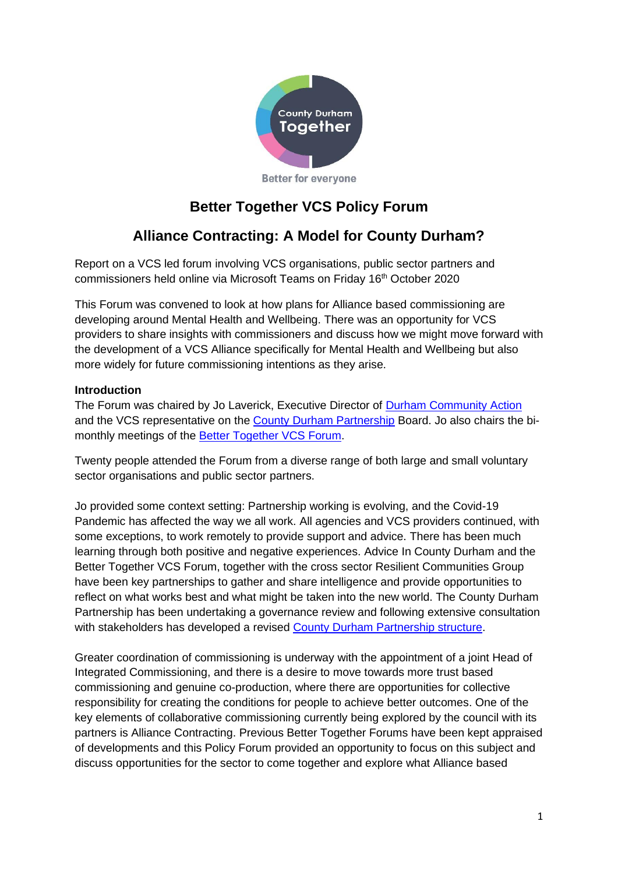

# **Better Together VCS Policy Forum**

# **Alliance Contracting: A Model for County Durham?**

Report on a VCS led forum involving VCS organisations, public sector partners and commissioners held online via Microsoft Teams on Friday 16<sup>th</sup> October 2020

This Forum was convened to look at how plans for Alliance based commissioning are developing around Mental Health and Wellbeing. There was an opportunity for VCS providers to share insights with commissioners and discuss how we might move forward with the development of a VCS Alliance specifically for Mental Health and Wellbeing but also more widely for future commissioning intentions as they arise.

# **Introduction**

The Forum was chaired by Jo Laverick, Executive Director of [Durham Community Action](http://www.durhamcommunityaction.org.uk/) and the VCS representative on the [County Durham Partnership](http://www.countydurhampartnership.co.uk/) Board. Jo also chairs the bimonthly meetings of the [Better Together VCS Forum.](http://www.durhamcommunityaction.org.uk/better-together-vcs-forum.html)

Twenty people attended the Forum from a diverse range of both large and small voluntary sector organisations and public sector partners.

Jo provided some context setting: Partnership working is evolving, and the Covid-19 Pandemic has affected the way we all work. All agencies and VCS providers continued, with some exceptions, to work remotely to provide support and advice. There has been much learning through both positive and negative experiences. Advice In County Durham and the Better Together VCS Forum, together with the cross sector Resilient Communities Group have been key partnerships to gather and share intelligence and provide opportunities to reflect on what works best and what might be taken into the new world. The County Durham Partnership has been undertaking a governance review and following extensive consultation with stakeholders has developed a revised [County Durham Partnership structure.](https://www.durhamcommunityaction.org.uk/public/dca/www/uploads/files/CDP%20structure%20Sept%202020%20.pptx)

Greater coordination of commissioning is underway with the appointment of a joint Head of Integrated Commissioning, and there is a desire to move towards more trust based commissioning and genuine co-production, where there are opportunities for collective responsibility for creating the conditions for people to achieve better outcomes. One of the key elements of collaborative commissioning currently being explored by the council with its partners is Alliance Contracting. Previous Better Together Forums have been kept appraised of developments and this Policy Forum provided an opportunity to focus on this subject and discuss opportunities for the sector to come together and explore what Alliance based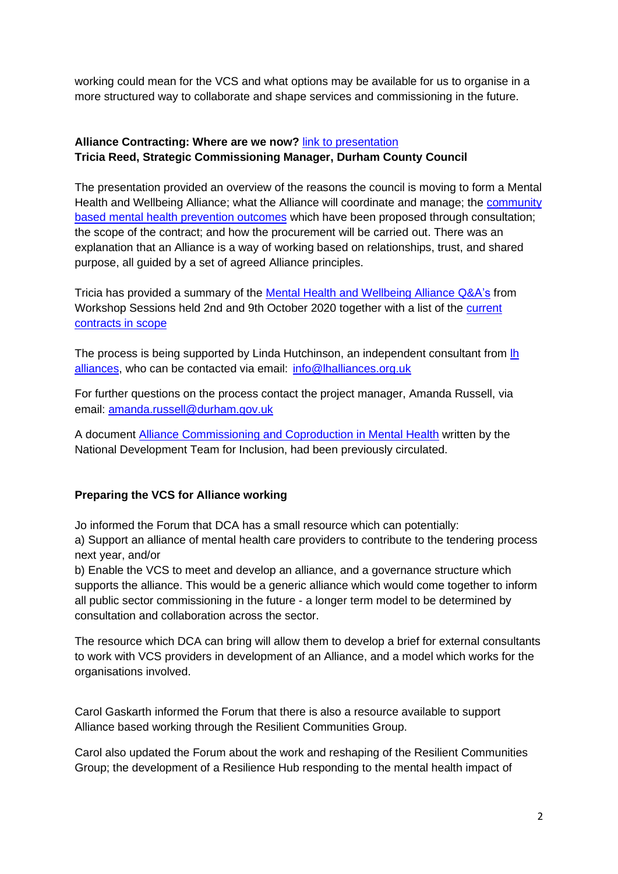working could mean for the VCS and what options may be available for us to organise in a more structured way to collaborate and shape services and commissioning in the future.

# **Alliance Contracting: Where are we now?** [link to presentation](https://www.durhamcommunityaction.org.uk/public/dca/www/uploads/files/Alliance%20Contracting%20VCS%20Policy%20Forum%20%20161020.pptx) **Tricia Reed, Strategic Commissioning Manager, Durham County Council**

The presentation provided an overview of the reasons the council is moving to form a Mental Health and Wellbeing Alliance; what the Alliance will coordinate and manage; the [community](https://www.durhamcommunityaction.org.uk/public/dca/www/uploads/files/Community%20Based%20Mental%20Health%20Prevention%20Outcomes.docx)  [based mental health prevention outcomes](https://www.durhamcommunityaction.org.uk/public/dca/www/uploads/files/Community%20Based%20Mental%20Health%20Prevention%20Outcomes.docx) which have been proposed through consultation; the scope of the contract; and how the procurement will be carried out. There was an explanation that an Alliance is a way of working based on relationships, trust, and shared purpose, all guided by a set of agreed Alliance principles.

Tricia has provided a summary of the [Mental Health and Wellbeing Alliance Q&A's](https://www.durhamcommunityaction.org.uk/public/dca/www/uploads/files/Mental%20Health%20and%20Wellbeing%20Alliance%20Q&A%20-%20October%202020.docx.pdf) from Workshop Sessions held 2nd and 9th October 2020 together with a list of the [current](https://www.durhamcommunityaction.org.uk/public/dca/www/uploads/files/Current%20Contracts%20In%20Scope.docx)  [contracts in scope](https://www.durhamcommunityaction.org.uk/public/dca/www/uploads/files/Current%20Contracts%20In%20Scope.docx)

The process is being supported by Linda Hutchinson, an independent consultant from Ih [alliances,](http://lhalliances.org.uk/) who can be contacted via email: [info@lhalliances.org.uk](mailto:info@lhalliances.org.uk)

For further questions on the process contact the project manager, Amanda Russell, via email: [amanda.russell@durham.gov.uk](mailto:amanda.russell@durham.gov.uk)

A document [Alliance Commissioning and Coproduction in Mental Health](https://www.durhamcommunityaction.org.uk/public/dca/www/uploads/files/Alliance%20Commissioning%20and%20Coproduction%20in%20Mental%20Health%202019.pdf) written by the National Development Team for Inclusion, had been previously circulated.

# **Preparing the VCS for Alliance working**

Jo informed the Forum that DCA has a small resource which can potentially: a) Support an alliance of mental health care providers to contribute to the tendering process next year, and/or

b) Enable the VCS to meet and develop an alliance, and a governance structure which supports the alliance. This would be a generic alliance which would come together to inform all public sector commissioning in the future - a longer term model to be determined by consultation and collaboration across the sector.

The resource which DCA can bring will allow them to develop a brief for external consultants to work with VCS providers in development of an Alliance, and a model which works for the organisations involved.

Carol Gaskarth informed the Forum that there is also a resource available to support Alliance based working through the Resilient Communities Group.

Carol also updated the Forum about the work and reshaping of the Resilient Communities Group; the development of a Resilience Hub responding to the mental health impact of